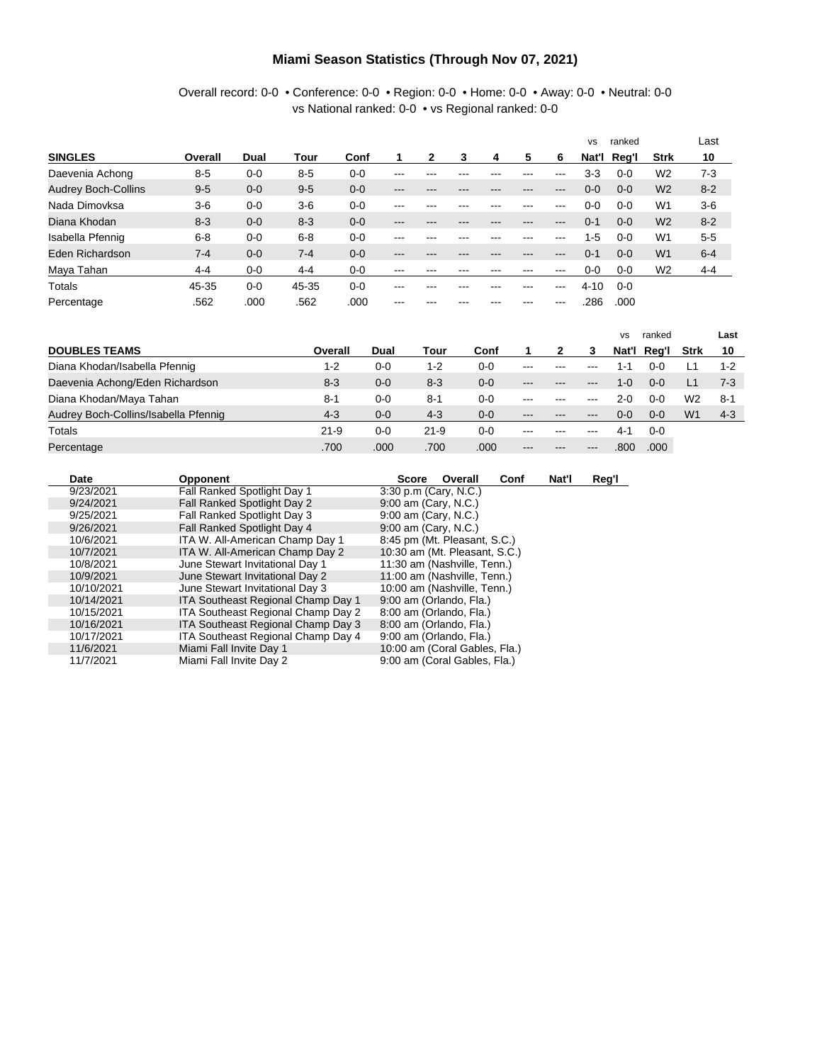#### **Miami Season Statistics (Through Nov 07, 2021)**

#### Overall record: 0-0 • Conference: 0-0 • Region: 0-0 • Home: 0-0 • Away: 0-0 • Neutral: 0-0 vs National ranked: 0-0 • vs Regional ranked: 0-0

|                            |         |         |         |         |     |     |     |     |     |     | <b>VS</b> | ranked  |                | Last    |
|----------------------------|---------|---------|---------|---------|-----|-----|-----|-----|-----|-----|-----------|---------|----------------|---------|
| <b>SINGLES</b>             | Overall | Dual    | Tour    | Conf    |     |     |     | 4   | 5   | 6   | Nat'l     | Reg'l   | <b>Strk</b>    | 10      |
| Daevenia Achong            | $8 - 5$ | $0 - 0$ | $8 - 5$ | $0 - 0$ | --- |     |     |     | --- | --- | 3-3       | $0 - 0$ | W <sub>2</sub> | $7-3$   |
| <b>Audrey Boch-Collins</b> | $9 - 5$ | $0 - 0$ | $9 - 5$ | $0 - 0$ | --- | --- | --- | --- | --- | --- | $0 - 0$   | $0 - 0$ | W <sub>2</sub> | $8 - 2$ |
| Nada Dimovksa              | $3-6$   | $0 - 0$ | $3-6$   | $0 - 0$ | --- |     |     |     | --- | --- | 0-0       | $0 - 0$ | W <sub>1</sub> | $3-6$   |
| Diana Khodan               | $8 - 3$ | $0 - 0$ | $8 - 3$ | $0 - 0$ | --- | --- | --- | --- | --- | --- | $0 - 1$   | $0 - 0$ | W <sub>2</sub> | $8 - 2$ |
| Isabella Pfennig           | $6 - 8$ | $0 - 0$ | $6 - 8$ | $0 - 0$ | --- |     |     |     | --- | --- | $1 - 5$   | $0-0$   | W <sub>1</sub> | $5 - 5$ |
| Eden Richardson            | $7 - 4$ | $0 - 0$ | $7 - 4$ | $0 - 0$ | --- | --- | --- |     | --- | --- | $0 - 1$   | $0 - 0$ | W <sub>1</sub> | $6 - 4$ |
| Maya Tahan                 | $4 - 4$ | $0 - 0$ | $4 - 4$ | $0 - 0$ | --- | --- | --- | --- | --- | --- | $0-0$     | $0 - 0$ | W <sub>2</sub> | $4 - 4$ |
| Totals                     | 45-35   | $0 - 0$ | 45-35   | $0 - 0$ | --- | --- | --- | --- | --- | --- | $4 - 10$  | $0 - 0$ |                |         |
| Percentage                 | .562    | .000    | .562    | .000    | --- |     |     |     | --- | --- | 286       | .000    |                |         |

|                                      |          |         |          |         |         |         | vs      | ranked      |                | Last    |
|--------------------------------------|----------|---------|----------|---------|---------|---------|---------|-------------|----------------|---------|
| <b>DOUBLES TEAMS</b>                 | Overall  | Dual    | Tour     | Conf    |         | З       |         | Nat'l Reg'l | Strk           | 10      |
| Diana Khodan/Isabella Pfennig        | 1-2      | $0 - 0$ | 1-2      | $0 - 0$ | $--$    | $--$    | 1 - 1   | 0-0         |                | $1 - 2$ |
| Daevenia Achong/Eden Richardson      | $8 - 3$  | $0 - 0$ | $8 - 3$  | $0 - 0$ | $- - -$ | $--$    | 1-0     | $0 - 0$     |                | $7-3$   |
| Diana Khodan/Maya Tahan              | $8 - 1$  | $0 - 0$ | $8 - 1$  | 0-0     | $- - -$ | $--$    | 2-0     | $0 - 0$     | W2             | $8 - 1$ |
| Audrey Boch-Collins/Isabella Pfennig | $4 - 3$  | $0 - 0$ | $4 - 3$  | 0-0     | $---$   | $---$   | $0 - 0$ | $0 - 0$     | W <sub>1</sub> | $4 - 3$ |
| Totals                               | $21 - 9$ | $0 - 0$ | $21 - 9$ | 0-0     | $- - -$ | $- - -$ | 4-1     | $0 - 0$     |                |         |
| Percentage                           | .700     | .000    | .700     | .000    | $- - -$ | $--$    | .800    | .000        |                |         |

| Date       | <b>Opponent</b>                    | Nat'l<br>Overall<br>Conf<br><b>Score</b> | Reg'l |
|------------|------------------------------------|------------------------------------------|-------|
| 9/23/2021  | Fall Ranked Spotlight Day 1        | 3:30 p.m (Cary, N.C.)                    |       |
| 9/24/2021  | Fall Ranked Spotlight Day 2        | 9:00 am (Cary, N.C.)                     |       |
| 9/25/2021  | Fall Ranked Spotlight Day 3        | 9:00 am (Cary, N.C.)                     |       |
| 9/26/2021  | Fall Ranked Spotlight Day 4        | 9:00 am (Cary, N.C.)                     |       |
| 10/6/2021  | ITA W. All-American Champ Day 1    | 8:45 pm (Mt. Pleasant, S.C.)             |       |
| 10/7/2021  | ITA W. All-American Champ Day 2    | 10:30 am (Mt. Pleasant, S.C.)            |       |
| 10/8/2021  | June Stewart Invitational Day 1    | 11:30 am (Nashville, Tenn.)              |       |
| 10/9/2021  | June Stewart Invitational Day 2    | 11:00 am (Nashville, Tenn.)              |       |
| 10/10/2021 | June Stewart Invitational Day 3    | 10:00 am (Nashville, Tenn.)              |       |
| 10/14/2021 | ITA Southeast Regional Champ Day 1 | 9:00 am (Orlando, Fla.)                  |       |
| 10/15/2021 | ITA Southeast Regional Champ Day 2 | 8:00 am (Orlando, Fla.)                  |       |
| 10/16/2021 | ITA Southeast Regional Champ Day 3 | 8:00 am (Orlando, Fla.)                  |       |
| 10/17/2021 | ITA Southeast Regional Champ Day 4 | 9:00 am (Orlando, Fla.)                  |       |
| 11/6/2021  | Miami Fall Invite Day 1            | 10:00 am (Coral Gables, Fla.)            |       |
| 11/7/2021  | Miami Fall Invite Day 2            | 9:00 am (Coral Gables, Fla.)             |       |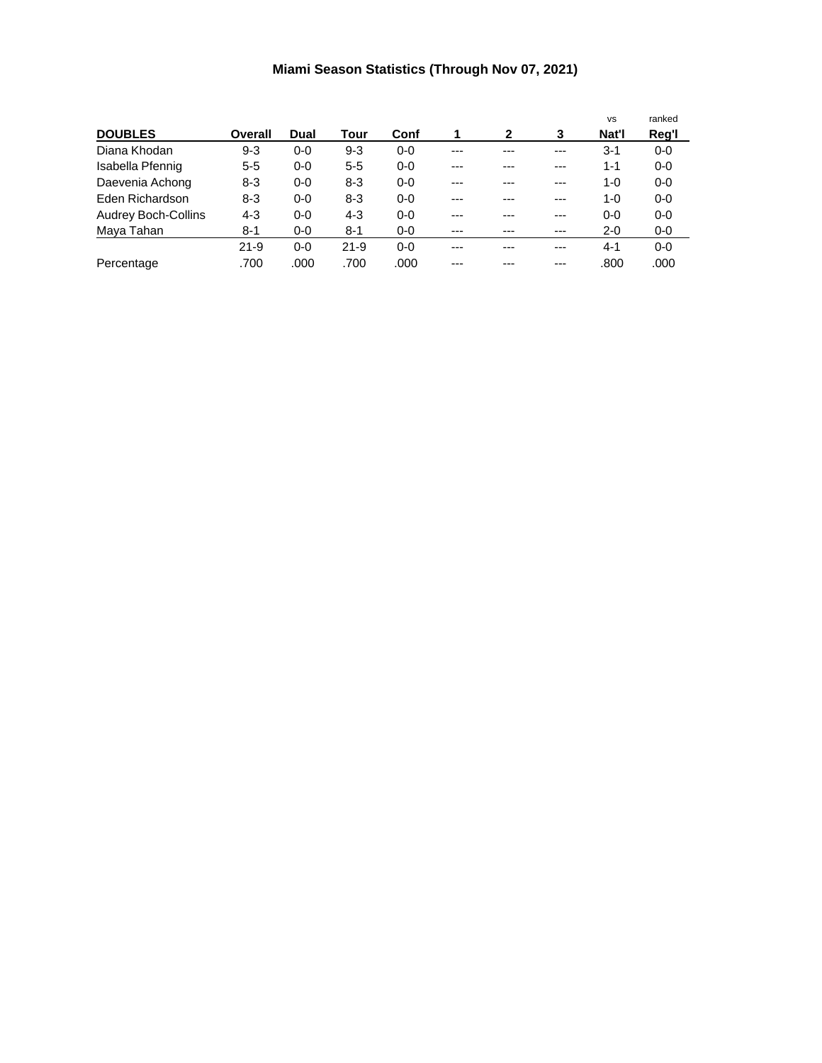# **Miami Season Statistics (Through Nov 07, 2021)**

|                            |          |         |          |         |       |     |       | <b>VS</b> | ranked  |
|----------------------------|----------|---------|----------|---------|-------|-----|-------|-----------|---------|
| <b>DOUBLES</b>             | Overall  | Dual    | Tour     | Conf    | 1     | 2   | 3     | Nat'l     | Reg'l   |
| Diana Khodan               | $9 - 3$  | $0 - 0$ | $9 - 3$  | $0 - 0$ | ---   | --- | ---   | $3-1$     | $0 - 0$ |
| Isabella Pfennig           | $5-5$    | $0-0$   | $5 - 5$  | $0 - 0$ | ---   | --- | $---$ | $1 - 1$   | $0-0$   |
| Daevenia Achong            | $8 - 3$  | $0-0$   | $8 - 3$  | $0 - 0$ | ---   | --- | ---   | 1-0       | $0-0$   |
| Eden Richardson            | $8 - 3$  | $0 - 0$ | 8-3      | $0 - 0$ | ---   | --- | $---$ | 1-0       | $0-0$   |
| <b>Audrey Boch-Collins</b> | $4 - 3$  | $0-0$   | $4 - 3$  | $0 - 0$ | ---   | --- | ---   | $0 - 0$   | $0 - 0$ |
| Maya Tahan                 | $8 - 1$  | $0-0$   | $8 - 1$  | $0 - 0$ | $---$ | --- | $---$ | $2 - 0$   | $0-0$   |
|                            | $21 - 9$ | $0 - 0$ | $21 - 9$ | $0 - 0$ | ---   | --- | ---   | $4 - 1$   | $0-0$   |
| Percentage                 | .700     | .000    | .700     | .000    | ---   | --- | ---   | .800      | .000    |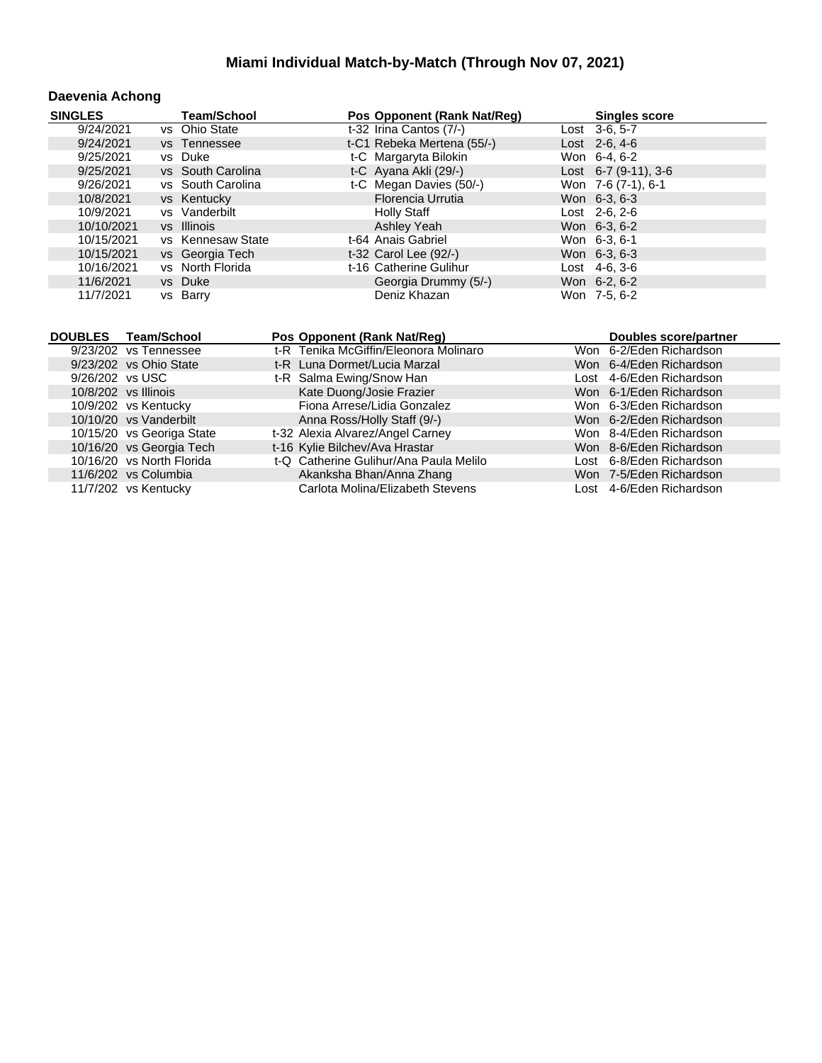#### **Daevenia Achong**

| <b>SINGLES</b>                       | <b>Team/School</b> | Pos Opponent (Rank Nat/Req)           | <b>Singles score</b>    |
|--------------------------------------|--------------------|---------------------------------------|-------------------------|
| 9/24/2021                            | vs Ohio State      | t-32 Irina Cantos (7/-)               | Lost 3-6, 5-7           |
| 9/24/2021                            | vs Tennessee       | t-C1 Rebeka Mertena (55/-)            | $Last 2-6, 4-6$         |
| 9/25/2021                            | vs Duke            | t-C Margaryta Bilokin                 | Won 6-4, 6-2            |
| 9/25/2021                            | vs South Carolina  | t-C Ayana Akli (29/-)                 | Lost $6-7$ (9-11), 3-6  |
| 9/26/2021                            | vs South Carolina  | t-C Megan Davies (50/-)               | Won 7-6 (7-1), 6-1      |
| 10/8/2021                            | vs Kentucky        | Florencia Urrutia                     | Won 6-3, 6-3            |
| 10/9/2021                            | vs Vanderbilt      | <b>Holly Staff</b>                    | Lost 2-6, 2-6           |
| 10/10/2021                           | vs Illinois        | Ashley Yeah                           | Won 6-3, 6-2            |
| 10/15/2021                           | vs Kennesaw State  | t-64 Anais Gabriel                    | Won 6-3, 6-1            |
| 10/15/2021                           | vs Georgia Tech    | t-32 Carol Lee (92/-)                 | Won 6-3, 6-3            |
| 10/16/2021                           | vs North Florida   | t-16 Catherine Gulihur                | Lost 4-6, 3-6           |
| 11/6/2021                            | vs Duke            | Georgia Drummy (5/-)                  | Won 6-2, 6-2            |
| 11/7/2021                            | vs Barry           | Deniz Khazan                          | Won 7-5, 6-2            |
|                                      |                    |                                       |                         |
|                                      |                    |                                       |                         |
| <b>DOUBLES</b><br><b>Team/School</b> |                    | Pos Opponent (Rank Nat/Req)           | Doubles score/partner   |
| 9/23/202 vs Tennessee                |                    | t-R Tenika McGiffin/Eleonora Molinaro | Won 6-2/Eden Richardson |

| 9/23/202 vs Tennessee     | t-R Tenika McGiffin/Eleonora Molinaro  | Won 6-2/Eden Richardson  |
|---------------------------|----------------------------------------|--------------------------|
| 9/23/202 vs Ohio State    | t-R Luna Dormet/Lucia Marzal           | Won 6-4/Eden Richardson  |
| 9/26/202 vs USC           | t-R Salma Ewing/Snow Han               | Lost 4-6/Eden Richardson |
| 10/8/202 vs Illinois      | Kate Duong/Josie Frazier               | Won 6-1/Eden Richardson  |
| 10/9/202 vs Kentucky      | Fiona Arrese/Lidia Gonzalez            | Won 6-3/Eden Richardson  |
| 10/10/20 vs Vanderbilt    | Anna Ross/Holly Staff (9/-)            | Won 6-2/Eden Richardson  |
| 10/15/20 vs Georiga State | t-32 Alexia Alvarez/Angel Carney       | Won 8-4/Eden Richardson  |
| 10/16/20 vs Georgia Tech  | t-16 Kylie Bilchev/Ava Hrastar         | Won 8-6/Eden Richardson  |
| 10/16/20 vs North Florida | t-Q Catherine Gulihur/Ana Paula Melilo | Lost 6-8/Eden Richardson |
| 11/6/202 vs Columbia      | Akanksha Bhan/Anna Zhang               | Won 7-5/Eden Richardson  |
| 11/7/202 vs Kentucky      | Carlota Molina/Elizabeth Stevens       | Lost 4-6/Eden Richardson |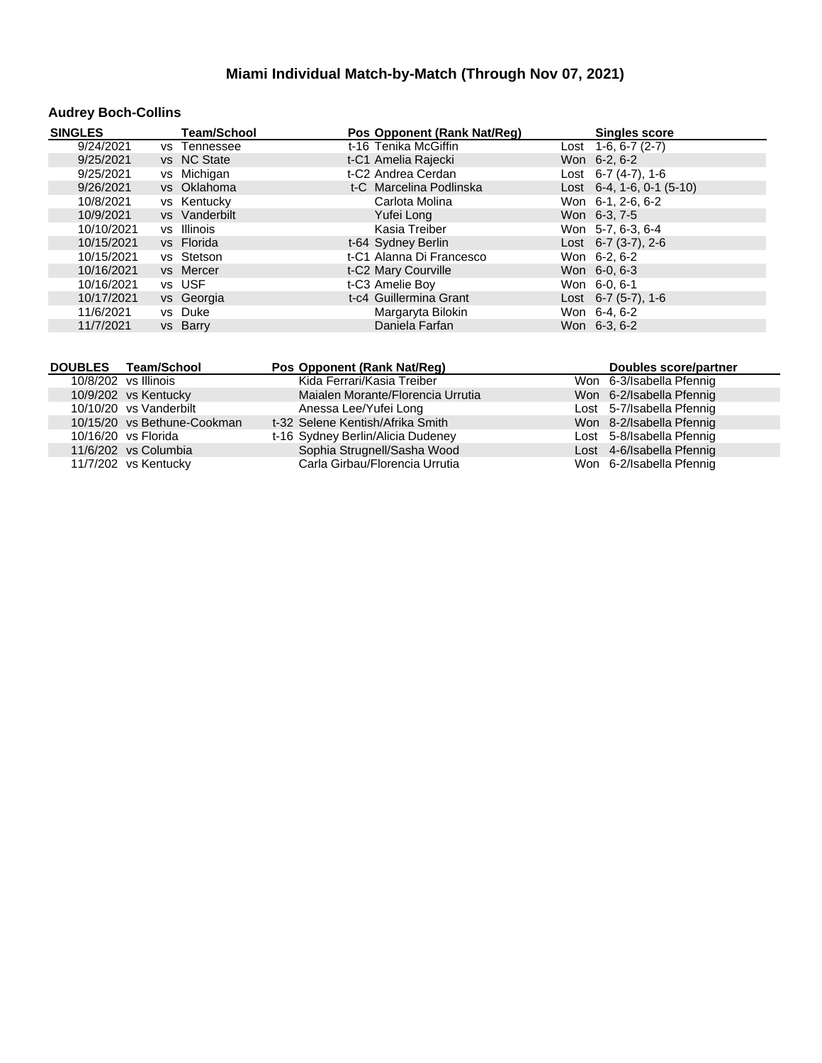# **Audrey Boch-Collins**

| <b>SINGLES</b> | <b>Team/School</b> | Pos Opponent (Rank Nat/Reg) | <b>Singles score</b>         |
|----------------|--------------------|-----------------------------|------------------------------|
| 9/24/2021      | vs Tennessee       | t-16 Tenika McGiffin        | Lost $1-6, 6-7(2-7)$         |
| 9/25/2021      | vs NC State        | t-C1 Amelia Rajecki         | Won 6-2, 6-2                 |
| 9/25/2021      | vs Michigan        | t-C2 Andrea Cerdan          | Lost $6-7$ (4-7), 1-6        |
| 9/26/2021      | vs Oklahoma        | t-C Marcelina Podlinska     | Lost $6-4$ , 1-6, 0-1 (5-10) |
| 10/8/2021      | vs Kentucky        | Carlota Molina              | Won 6-1, 2-6, 6-2            |
| 10/9/2021      | vs Vanderbilt      | Yufei Long                  | Won 6-3, 7-5                 |
| 10/10/2021     | vs Illinois        | Kasia Treiber               | Won 5-7, 6-3, 6-4            |
| 10/15/2021     | vs Florida         | t-64 Sydney Berlin          | Lost $6-7$ (3-7), 2-6        |
| 10/15/2021     | vs Stetson         | t-C1 Alanna Di Francesco    | Won 6-2, 6-2                 |
| 10/16/2021     | vs Mercer          | t-C2 Mary Courville         | Won 6-0, 6-3                 |
| 10/16/2021     | vs USF             | t-C3 Amelie Boy             | Won 6-0, 6-1                 |
| 10/17/2021     | vs Georgia         | t-c4 Guillermina Grant      | Lost $6-7$ (5-7), 1-6        |
| 11/6/2021      | vs Duke            | Margaryta Bilokin           | Won 6-4, 6-2                 |
| 11/7/2021      | vs Barry           | Daniela Farfan              | Won 6-3, 6-2                 |

| DOUBLES Team/School         | Pos Opponent (Rank Nat/Req)       | Doubles score/partner     |
|-----------------------------|-----------------------------------|---------------------------|
| 10/8/202 vs Illinois        | Kida Ferrari/Kasia Treiber        | Won 6-3/Isabella Pfennig  |
| 10/9/202 vs Kentucky        | Maialen Morante/Florencia Urrutia | Won 6-2/Isabella Pfennig  |
| 10/10/20 vs Vanderbilt      | Anessa Lee/Yufei Long             | Lost 5-7/Isabella Pfennig |
| 10/15/20 vs Bethune-Cookman | t-32 Selene Kentish/Afrika Smith  | Won 8-2/Isabella Pfennig  |
| 10/16/20 vs Florida         | t-16 Sydney Berlin/Alicia Dudeney | Lost 5-8/Isabella Pfennig |
| 11/6/202 vs Columbia        | Sophia Strugnell/Sasha Wood       | Lost 4-6/Isabella Pfennig |
| 11/7/202 vs Kentucky        | Carla Girbau/Florencia Urrutia    | Won 6-2/Isabella Pfennig  |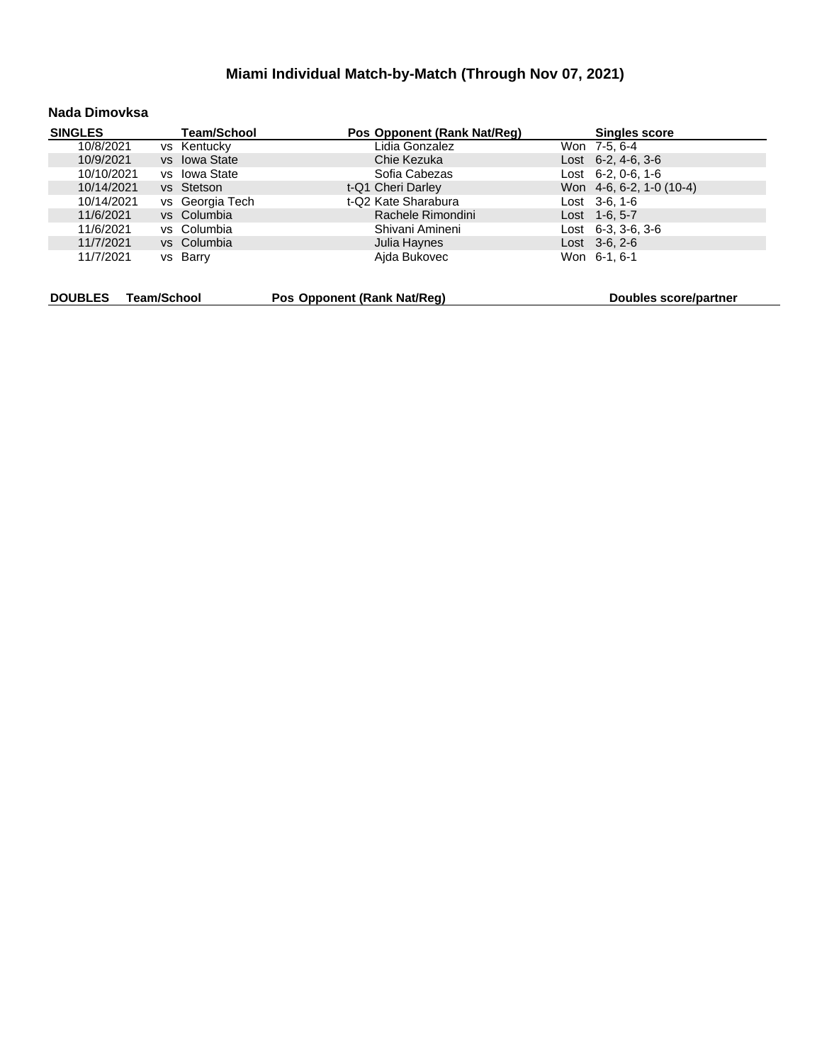#### **Nada Dimovksa**

| <b>SINGLES</b> |             | <b>Team/School</b> |                             | Pos Opponent (Rank Nat/Req) | <b>Singles score</b>       |
|----------------|-------------|--------------------|-----------------------------|-----------------------------|----------------------------|
| 10/8/2021      |             | vs Kentucky        |                             | Lidia Gonzalez              | Won 7-5, 6-4               |
| 10/9/2021      |             | vs Iowa State      |                             | Chie Kezuka                 | Lost $6-2, 4-6, 3-6$       |
| 10/10/2021     |             | vs lowa State      |                             | Sofia Cabezas               | Lost $6-2, 0-6, 1-6$       |
| 10/14/2021     |             | vs Stetson         |                             | t-Q1 Cheri Darley           | Won $4-6, 6-2, 1-0$ (10-4) |
| 10/14/2021     |             | vs Georgia Tech    |                             | t-Q2 Kate Sharabura         | Lost 3-6, 1-6              |
| 11/6/2021      |             | vs Columbia        |                             | Rachele Rimondini           | Lost $1-6, 5-7$            |
| 11/6/2021      |             | vs Columbia        |                             | Shivani Amineni             | Lost $6-3$ , $3-6$ , $3-6$ |
| 11/7/2021      |             | vs Columbia        |                             | Julia Haynes                | $Last \, 3-6, 2-6$         |
| 11/7/2021      |             | vs Barry           |                             | Ajda Bukovec                | Won 6-1, 6-1               |
|                |             |                    |                             |                             |                            |
| <b>DOUBLES</b> | Team/School |                    | Pos Opponent (Rank Nat/Req) |                             | Doubles score/partner      |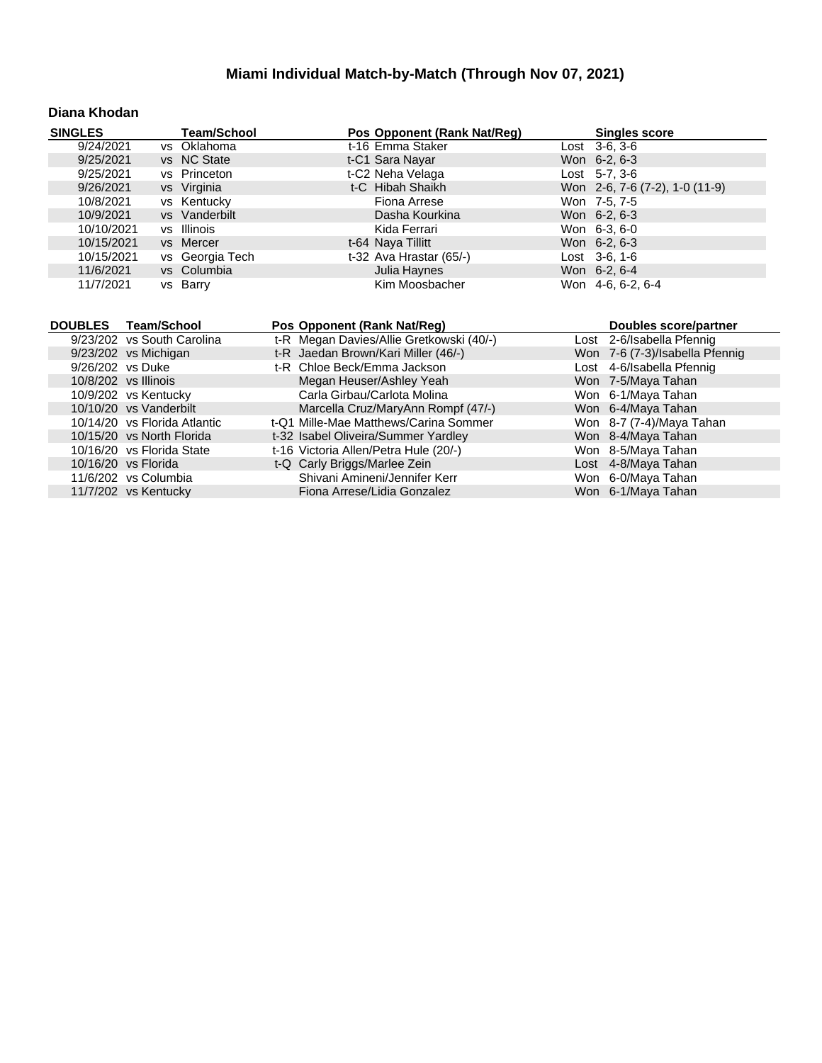#### **Diana Khodan**

| <b>SINGLES</b>               | <b>Team/School</b> | Pos Opponent (Rank Nat/Reg)                                             | <b>Singles score</b>           |
|------------------------------|--------------------|-------------------------------------------------------------------------|--------------------------------|
| 9/24/2021                    | vs Oklahoma        | t-16 Emma Staker                                                        | Lost 3-6, 3-6                  |
| 9/25/2021                    | vs NC State        | t-C1 Sara Nayar                                                         | Won 6-2, 6-3                   |
| 9/25/2021                    | vs Princeton       | t-C2 Neha Velaga                                                        | Lost 5-7, 3-6                  |
| 9/26/2021                    | vs Virginia        | t-C Hibah Shaikh                                                        | Won 2-6, 7-6 (7-2), 1-0 (11-9) |
| 10/8/2021                    | vs Kentucky        | Fiona Arrese                                                            | Won 7-5, 7-5                   |
| 10/9/2021                    | vs Vanderbilt      | Dasha Kourkina                                                          | Won 6-2, 6-3                   |
| 10/10/2021                   | vs Illinois        | Kida Ferrari                                                            | Won 6-3, 6-0                   |
| 10/15/2021                   | vs Mercer          | t-64 Naya Tillitt                                                       | Won 6-2, 6-3                   |
| 10/15/2021                   | vs Georgia Tech    | t-32 Ava Hrastar (65/-)                                                 | Lost 3-6, 1-6                  |
| 11/6/2021                    | vs Columbia        | Julia Haynes                                                            | Won 6-2, 6-4                   |
| 11/7/2021                    | vs Barry           | Kim Moosbacher                                                          | Won 4-6, 6-2, 6-4              |
|                              |                    |                                                                         |                                |
|                              |                    |                                                                         |                                |
| <b>DOUBLES</b>               | <b>Team/School</b> |                                                                         | Doubles score/partner          |
| 9/23/202 vs South Carolina   |                    | Pos Opponent (Rank Nat/Reg)<br>t-R Megan Davies/Allie Gretkowski (40/-) | Lost 2-6/Isabella Pfennig      |
| 9/23/202 vs Michigan         |                    | t-R Jaedan Brown/Kari Miller (46/-)                                     | Won 7-6 (7-3)/Isabella Pfennig |
| 9/26/202 vs Duke             |                    | t-R Chloe Beck/Emma Jackson                                             | Lost 4-6/Isabella Pfennig      |
| 10/8/202 vs Illinois         |                    | Megan Heuser/Ashley Yeah                                                | Won 7-5/Maya Tahan             |
| 10/9/202 vs Kentucky         |                    | Carla Girbau/Carlota Molina                                             | Won 6-1/Maya Tahan             |
| 10/10/20 vs Vanderbilt       |                    | Marcella Cruz/MaryAnn Rompf (47/-)                                      | Won 6-4/Maya Tahan             |
| 10/14/20 vs Florida Atlantic |                    | t-Q1 Mille-Mae Matthews/Carina Sommer                                   | Won 8-7 (7-4)/Maya Tahan       |
| 10/15/20 vs North Florida    |                    | t-32 Isabel Oliveira/Summer Yardley                                     | Won 8-4/Maya Tahan             |
| 10/16/20 vs Florida State    |                    | t-16 Victoria Allen/Petra Hule (20/-)                                   | Won 8-5/Maya Tahan             |
| 10/16/20 vs Florida          |                    | t-Q Carly Briggs/Marlee Zein                                            | Lost 4-8/Maya Tahan            |
| 11/6/202 vs Columbia         |                    | Shivani Amineni/Jennifer Kerr                                           | Won 6-0/Maya Tahan             |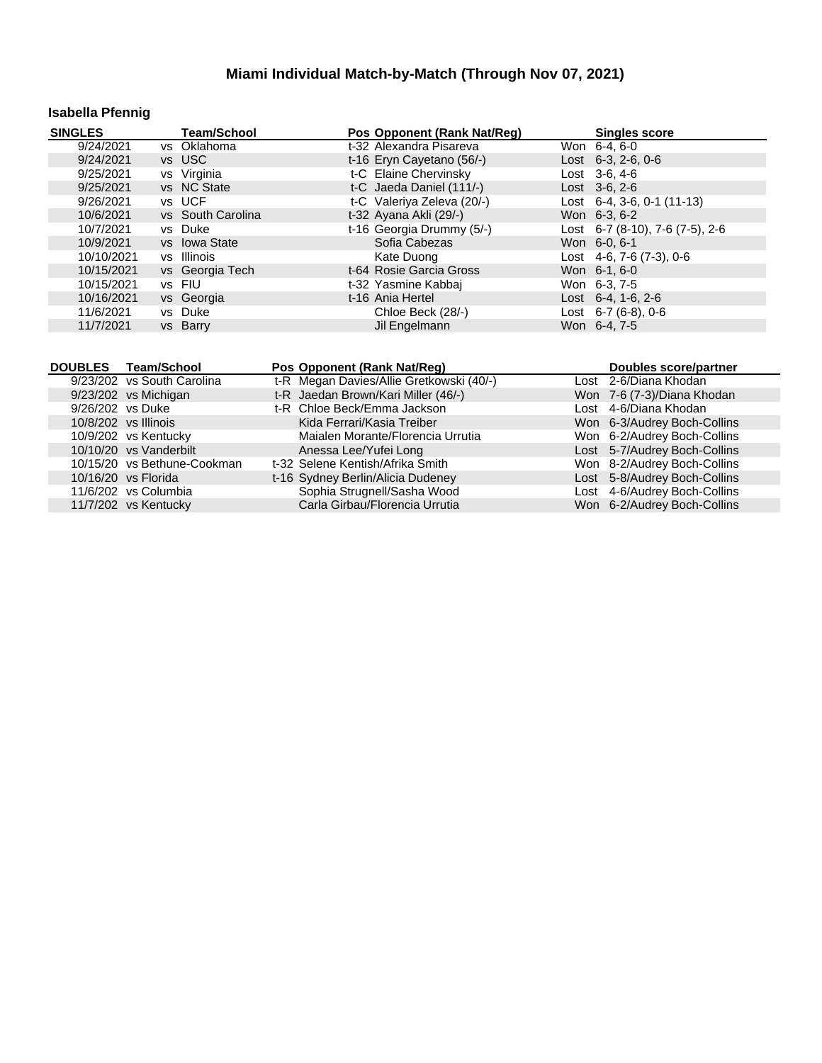# **Isabella Pfennig**

| <b>SINGLES</b> | <b>Team/School</b> | Pos Opponent (Rank Nat/Reg) | <b>Singles score</b>               |
|----------------|--------------------|-----------------------------|------------------------------------|
| 9/24/2021      | vs Oklahoma        | t-32 Alexandra Pisareva     | Won 6-4, 6-0                       |
| 9/24/2021      | vs USC             | t-16 Eryn Cayetano (56/-)   | Lost $6-3$ , $2-6$ , $0-6$         |
| 9/25/2021      | vs Virginia        | t-C Elaine Chervinsky       | Lost 3-6, 4-6                      |
| 9/25/2021      | vs NC State        | t-C Jaeda Daniel (111/-)    | $Last \, 3-6.2-6$                  |
| 9/26/2021      | vs UCF             | t-C Valeriya Zeleva (20/-)  | Lost $6-4$ , 3-6, 0-1 (11-13)      |
| 10/6/2021      | vs South Carolina  | t-32 Ayana Akli (29/-)      | Won 6-3, 6-2                       |
| 10/7/2021      | vs Duke            | t-16 Georgia Drummy (5/-)   | Lost 6-7 (8-10), 7-6 (7-5), 2-6    |
| 10/9/2021      | vs Iowa State      | Sofia Cabezas               | Won 6-0, 6-1                       |
| 10/10/2021     | vs Illinois        | Kate Duong                  | Lost $4-6$ , $7-6$ $(7-3)$ , $0-6$ |
| 10/15/2021     | vs Georgia Tech    | t-64 Rosie Garcia Gross     | Won 6-1, 6-0                       |
| 10/15/2021     | vs FIU             | t-32 Yasmine Kabbaj         | Won 6-3, 7-5                       |
| 10/16/2021     | vs Georgia         | t-16 Ania Hertel            | Lost $6-4$ , 1 $-6$ , 2 $-6$       |
| 11/6/2021      | vs Duke            | Chloe Beck (28/-)           | Lost $6-7(6-8)$ , 0-6              |
| 11/7/2021      | vs Barry           | Jil Engelmann               | Won 6-4, 7-5                       |

|                  | DOUBLES Team/School         | Pos Opponent (Rank Nat/Reg)              | <b>Doubles score/partner</b> |
|------------------|-----------------------------|------------------------------------------|------------------------------|
|                  | 9/23/202 vs South Carolina  | t-R Megan Davies/Allie Gretkowski (40/-) | Lost 2-6/Diana Khodan        |
|                  | 9/23/202 vs Michigan        | t-R Jaedan Brown/Kari Miller (46/-)      | Won 7-6 (7-3)/Diana Khodan   |
| 9/26/202 vs Duke |                             | t-R Chloe Beck/Emma Jackson              | Lost 4-6/Diana Khodan        |
|                  | $10/8/202$ vs Illinois      | Kida Ferrari/Kasia Treiber               | Won 6-3/Audrey Boch-Collins  |
|                  | 10/9/202 vs Kentucky        | Maialen Morante/Florencia Urrutia        | Won 6-2/Audrey Boch-Collins  |
|                  | 10/10/20 vs Vanderbilt      | Anessa Lee/Yufei Long                    | Lost 5-7/Audrey Boch-Collins |
|                  | 10/15/20 vs Bethune-Cookman | t-32 Selene Kentish/Afrika Smith         | Won 8-2/Audrey Boch-Collins  |
|                  | 10/16/20 vs Florida         | t-16 Sydney Berlin/Alicia Dudeney        | Lost 5-8/Audrey Boch-Collins |
|                  | 11/6/202 vs Columbia        | Sophia Strugnell/Sasha Wood              | Lost 4-6/Audrey Boch-Collins |
|                  | 11/7/202 vs Kentucky        | Carla Girbau/Florencia Urrutia           | Won 6-2/Audrey Boch-Collins  |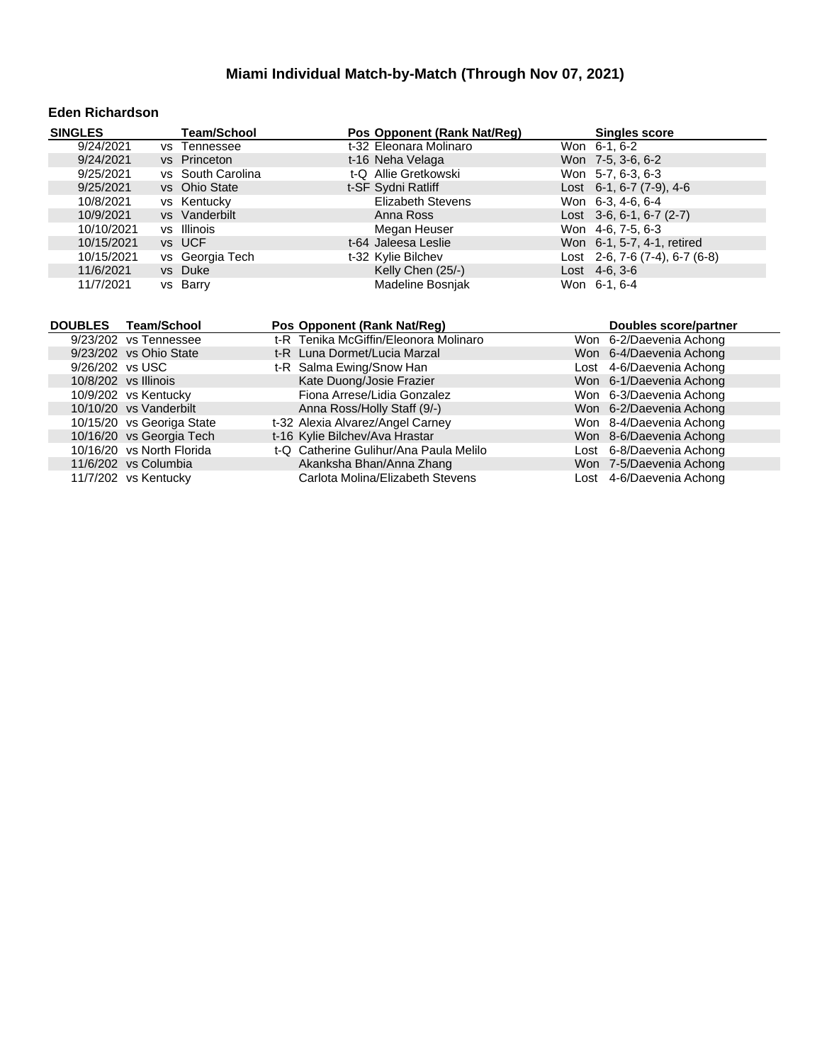#### **Eden Richardson**

| <b>SINGLES</b>                               |                    | <b>Team/School</b> |                                  | Pos Opponent (Rank Nat/Reg)                                  | <b>Singles score</b>                                |
|----------------------------------------------|--------------------|--------------------|----------------------------------|--------------------------------------------------------------|-----------------------------------------------------|
| 9/24/2021                                    |                    | vs Tennessee       |                                  | t-32 Eleonara Molinaro                                       | Won 6-1, 6-2                                        |
| 9/24/2021                                    |                    | vs Princeton       |                                  | t-16 Neha Velaga                                             | Won 7-5, 3-6, 6-2                                   |
| 9/25/2021                                    |                    | vs South Carolina  |                                  | t-Q Allie Gretkowski                                         | Won 5-7, 6-3, 6-3                                   |
| 9/25/2021                                    |                    | vs Ohio State      |                                  | t-SF Sydni Ratliff                                           | Lost 6-1, 6-7 (7-9), 4-6                            |
| 10/8/2021                                    | <b>VS</b>          | Kentucky           |                                  | <b>Elizabeth Stevens</b>                                     | Won 6-3, 4-6, 6-4                                   |
| 10/9/2021                                    |                    | vs Vanderbilt      |                                  | Anna Ross                                                    | Lost $3-6, 6-1, 6-7 (2-7)$                          |
| 10/10/2021                                   |                    | vs Illinois        |                                  | Megan Heuser                                                 | Won 4-6, 7-5, 6-3                                   |
| 10/15/2021                                   |                    | vs UCF             |                                  | t-64 Jaleesa Leslie                                          | Won 6-1, 5-7, 4-1, retired                          |
| 10/15/2021                                   |                    | vs Georgia Tech    |                                  | t-32 Kylie Bilchev                                           | Lost 2-6, 7-6 (7-4), 6-7 (6-8)                      |
| 11/6/2021                                    |                    | vs Duke            |                                  | Kelly Chen (25/-)                                            | Lost $4-6, 3-6$                                     |
| 11/7/2021                                    |                    | vs Barry           |                                  | Madeline Bosnjak                                             | Won 6-1, 6-4                                        |
|                                              |                    |                    |                                  |                                                              |                                                     |
|                                              |                    |                    |                                  |                                                              |                                                     |
|                                              |                    |                    |                                  |                                                              |                                                     |
| <b>DOUBLES</b>                               | <b>Team/School</b> |                    | Pos Opponent (Rank Nat/Reg)      |                                                              | <b>Doubles score/partner</b>                        |
| 9/23/202 vs Tennessee                        |                    |                    |                                  | t-R Tenika McGiffin/Eleonora Molinaro                        | Won 6-2/Daevenia Achong                             |
| 9/23/202 vs Ohio State                       |                    |                    | t-R Luna Dormet/Lucia Marzal     |                                                              | Won 6-4/Daevenia Achong                             |
| 9/26/202 vs USC                              |                    |                    | t-R Salma Ewing/Snow Han         |                                                              | Lost 4-6/Daevenia Achong                            |
| 10/8/202 vs Illinois                         |                    |                    | Kate Duong/Josie Frazier         |                                                              | Won 6-1/Daevenia Achong                             |
| 10/9/202 vs Kentucky                         |                    |                    |                                  | Fiona Arrese/Lidia Gonzalez                                  | Won 6-3/Daevenia Achong                             |
| 10/10/20 vs Vanderbilt                       |                    |                    | Anna Ross/Holly Staff (9/-)      |                                                              | Won 6-2/Daevenia Achong                             |
| 10/15/20 vs Georiga State                    |                    |                    | t-32 Alexia Alvarez/Angel Carney |                                                              | Won 8-4/Daevenia Achong                             |
| 10/16/20 vs Georgia Tech                     |                    |                    | t-16 Kylie Bilchev/Ava Hrastar   |                                                              | Won 8-6/Daevenia Achong                             |
| 10/16/20 vs North Florida                    |                    |                    |                                  | t-Q Catherine Gulihur/Ana Paula Melilo                       | Lost 6-8/Daevenia Achong                            |
| 11/6/202 vs Columbia<br>11/7/202 vs Kentucky |                    |                    |                                  | Akanksha Bhan/Anna Zhang<br>Carlota Molina/Elizabeth Stevens | Won 7-5/Daevenia Achong<br>Lost 4-6/Daevenia Achong |